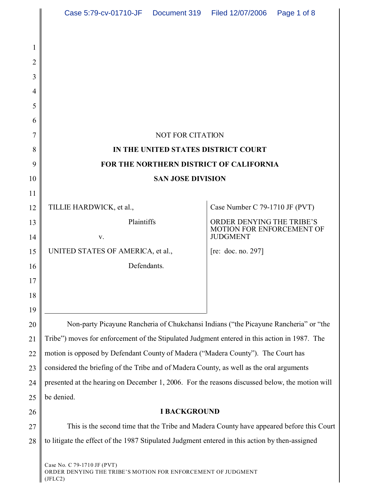|          | Case 5:79-cv-01710-JF    Document 319    Filed 12/07/2006                                      |  |                                                                           | Page 1 of 8 |  |
|----------|------------------------------------------------------------------------------------------------|--|---------------------------------------------------------------------------|-------------|--|
|          |                                                                                                |  |                                                                           |             |  |
| 1        |                                                                                                |  |                                                                           |             |  |
| 2        |                                                                                                |  |                                                                           |             |  |
| 3        |                                                                                                |  |                                                                           |             |  |
| 4        |                                                                                                |  |                                                                           |             |  |
| 5        |                                                                                                |  |                                                                           |             |  |
| 6        |                                                                                                |  |                                                                           |             |  |
| 7        | <b>NOT FOR CITATION</b>                                                                        |  |                                                                           |             |  |
| 8        | IN THE UNITED STATES DISTRICT COURT                                                            |  |                                                                           |             |  |
| 9        | FOR THE NORTHERN DISTRICT OF CALIFORNIA                                                        |  |                                                                           |             |  |
| 10       | <b>SAN JOSE DIVISION</b>                                                                       |  |                                                                           |             |  |
| 11       |                                                                                                |  |                                                                           |             |  |
| 12       | TILLIE HARDWICK, et al.,                                                                       |  | Case Number C 79-1710 JF (PVT)                                            |             |  |
| 13<br>14 | Plaintiffs<br>V.                                                                               |  | ORDER DENYING THE TRIBE'S<br>MOTION FOR ENFORCEMENT OF<br><b>JUDGMENT</b> |             |  |
| 15       | UNITED STATES OF AMERICA, et al.,                                                              |  | [re: doc. no. 297]                                                        |             |  |
| 16       | Defendants.                                                                                    |  |                                                                           |             |  |
| 17       |                                                                                                |  |                                                                           |             |  |
| 18       |                                                                                                |  |                                                                           |             |  |
| 19       |                                                                                                |  |                                                                           |             |  |
| 20       | Non-party Picayune Rancheria of Chukchansi Indians ("the Picayune Rancheria" or "the           |  |                                                                           |             |  |
| 21       | Tribe") moves for enforcement of the Stipulated Judgment entered in this action in 1987. The   |  |                                                                           |             |  |
| 22       | motion is opposed by Defendant County of Madera ("Madera County"). The Court has               |  |                                                                           |             |  |
| 23       | considered the briefing of the Tribe and of Madera County, as well as the oral arguments       |  |                                                                           |             |  |
| 24       | presented at the hearing on December 1, 2006. For the reasons discussed below, the motion will |  |                                                                           |             |  |
| 25       | be denied.                                                                                     |  |                                                                           |             |  |
| 26       | <b>I BACKGROUND</b>                                                                            |  |                                                                           |             |  |
| 27       | This is the second time that the Tribe and Madera County have appeared before this Court       |  |                                                                           |             |  |
| 28       | to litigate the effect of the 1987 Stipulated Judgment entered in this action by then-assigned |  |                                                                           |             |  |
|          | Case No. C 79-1710 JF (PVT)<br>ORDER DENYING THE TRIBE'S MOTION FOR ENFORCEMENT OF JUDGMENT    |  |                                                                           |             |  |

 $\bigg|$  (JFLC2)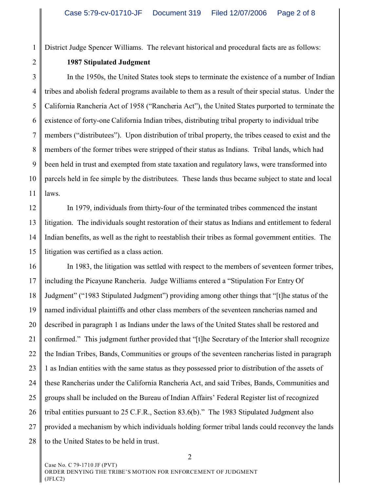District Judge Spencer Williams. The relevant historical and procedural facts are as follows:

1 2

## **1987 Stipulated Judgment**

3 4 5 6 7 8 9 10 11 In the 1950s, the United States took steps to terminate the existence of a number of Indian tribes and abolish federal programs available to them as a result of their special status. Under the California Rancheria Act of 1958 ("Rancheria Act"), the United States purported to terminate the existence of forty-one California Indian tribes, distributing tribal property to individual tribe members ("distributees"). Upon distribution of tribal property, the tribes ceased to exist and the members of the former tribes were stripped of their status as Indians. Tribal lands, which had been held in trust and exempted from state taxation and regulatory laws, were transformed into parcels held in fee simple by the distributees. These lands thus became subject to state and local laws.

12 13 14 15 In 1979, individuals from thirty-four of the terminated tribes commenced the instant litigation. The individuals sought restoration of their status as Indians and entitlement to federal Indian benefits, as well as the right to reestablish their tribes as formal government entities. The litigation was certified as a class action.

16 17 18 19 20 21 22 23 24 25 26 27 28 In 1983, the litigation was settled with respect to the members of seventeen former tribes, including the Picayune Rancheria. Judge Williams entered a "Stipulation For Entry Of Judgment" ("1983 Stipulated Judgment") providing among other things that "[t]he status of the named individual plaintiffs and other class members of the seventeen rancherias named and described in paragraph 1 as Indians under the laws of the United States shall be restored and confirmed." This judgment further provided that "[t]he Secretary of the Interior shall recognize the Indian Tribes, Bands, Communities or groups of the seventeen rancherias listed in paragraph 1 as Indian entities with the same status as they possessed prior to distribution of the assets of these Rancherias under the California Rancheria Act, and said Tribes, Bands, Communities and groups shall be included on the Bureau of Indian Affairs' Federal Register list of recognized tribal entities pursuant to 25 C.F.R., Section 83.6(b)." The 1983 Stipulated Judgment also provided a mechanism by which individuals holding former tribal lands could reconvey the lands to the United States to be held in trust.

Case No. C 79-1710 JF (PVT) ORDER DENYING THE TRIBE'S MOTION FOR ENFORCEMENT OF JUDGMENT (JFLC2)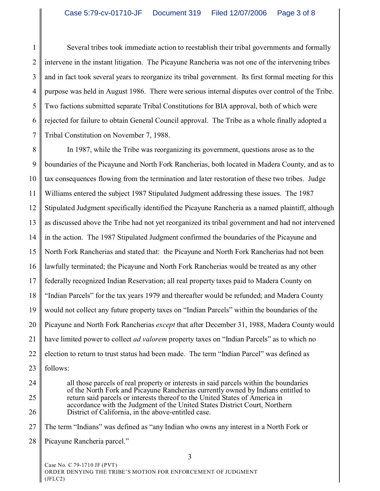1 2 3 4 5 6 7 Several tribes took immediate action to reestablish their tribal governments and formally intervene in the instant litigation. The Picayune Rancheria was not one of the intervening tribes and in fact took several years to reorganize its tribal government. Its first formal meeting for this purpose was held in August 1986. There were serious internal disputes over control of the Tribe. Two factions submitted separate Tribal Constitutions for BIA approval, both of which were rejected for failure to obtain General Council approval. The Tribe as a whole finally adopted a Tribal Constitution on November 7, 1988.

8 9 10 11 12 13 14 15 16 17 18 19 20 21 22 23 In 1987, while the Tribe was reorganizing its government, questions arose as to the boundaries of the Picayune and North Fork Rancherias, both located in Madera County, and as to tax consequences flowing from the termination and later restoration of these two tribes. Judge Williams entered the subject 1987 Stipulated Judgment addressing these issues. The 1987 Stipulated Judgment specifically identified the Picayune Rancheria as a named plaintiff, although as discussed above the Tribe had not yet reorganized its tribal government and had not intervened in the action. The 1987 Stipulated Judgment confirmed the boundaries of the Picayune and North Fork Rancherias and stated that: the Picayune and North Fork Rancherias had not been lawfully terminated; the Picayune and North Fork Rancherias would be treated as any other federally recognized Indian Reservation; all real property taxes paid to Madera County on "Indian Parcels" for the tax years 1979 and thereafter would be refunded; and Madera County would not collect any future property taxes on "Indian Parcels" within the boundaries of the Picayune and North Fork Rancherias *except* that after December 31, 1988, Madera County would have limited power to collect *ad valorem* property taxes on "Indian Parcels" as to which no election to return to trust status had been made. The term "Indian Parcel" was defined as follows:

all those parcels of real property or interests in said parcels within the boundaries of the North Fork and Picayune Rancherias currently owned by Indians entitled to return said parcels or interests thereof to the United States of America in accordance with the Judgment of the United States District Court, Northern District of California, in the above-entitled case.

27 The term "Indians" was defined as "any Indian who owns any interest in a North Fork or

28 Picayune Rancheria parcel."

24

25

26

Case No. C 79-1710 JF (PVT) ORDER DENYING THE TRIBE'S MOTION FOR ENFORCEMENT OF JUDGMENT (JFLC2)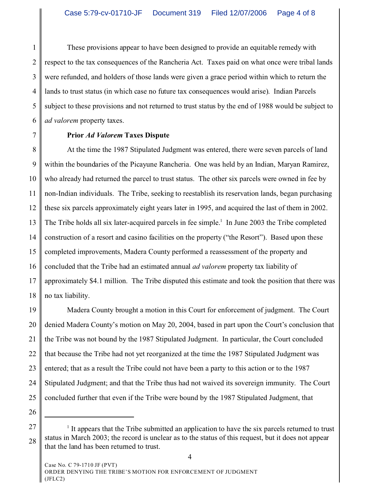1 2 3 4 5 6 These provisions appear to have been designed to provide an equitable remedy with respect to the tax consequences of the Rancheria Act. Taxes paid on what once were tribal lands were refunded, and holders of those lands were given a grace period within which to return the lands to trust status (in which case no future tax consequences would arise). Indian Parcels subject to these provisions and not returned to trust status by the end of 1988 would be subject to *ad valorem* property taxes.

7

## **Prior** *Ad Valorem* **Taxes Dispute**

8 9 10 11 12 13 14 15 16 17 18 At the time the 1987 Stipulated Judgment was entered, there were seven parcels of land within the boundaries of the Picayune Rancheria. One was held by an Indian, Maryan Ramirez, who already had returned the parcel to trust status. The other six parcels were owned in fee by non-Indian individuals. The Tribe, seeking to reestablish its reservation lands, began purchasing these six parcels approximately eight years later in 1995, and acquired the last of them in 2002. The Tribe holds all six later-acquired parcels in fee simple.<sup>1</sup> In June 2003 the Tribe completed construction of a resort and casino facilities on the property ("the Resort"). Based upon these completed improvements, Madera County performed a reassessment of the property and concluded that the Tribe had an estimated annual *ad valorem* property tax liability of approximately \$4.1 million. The Tribe disputed this estimate and took the position that there was no tax liability.

19 20 21 22 23 24 25 Madera County brought a motion in this Court for enforcement of judgment. The Court denied Madera County's motion on May 20, 2004, based in part upon the Court's conclusion that the Tribe was not bound by the 1987 Stipulated Judgment. In particular, the Court concluded that because the Tribe had not yet reorganized at the time the 1987 Stipulated Judgment was entered; that as a result the Tribe could not have been a party to this action or to the 1987 Stipulated Judgment; and that the Tribe thus had not waived its sovereign immunity. The Court concluded further that even if the Tribe were bound by the 1987 Stipulated Judgment, that

26

<sup>27</sup> 28 <sup>1</sup> It appears that the Tribe submitted an application to have the six parcels returned to trust status in March 2003; the record is unclear as to the status of this request, but it does not appear that the land has been returned to trust.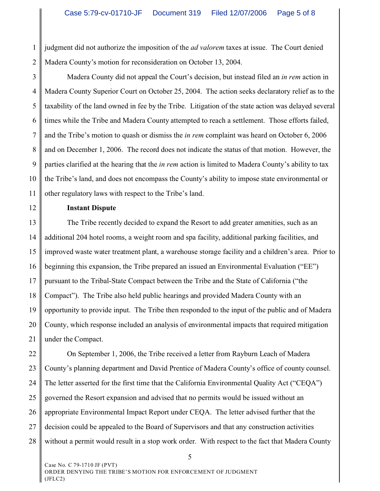1 2 judgment did not authorize the imposition of the *ad valorem* taxes at issue. The Court denied Madera County's motion for reconsideration on October 13, 2004.

3 4 5 6 7 8 9 10 11 Madera County did not appeal the Court's decision, but instead filed an *in rem* action in Madera County Superior Court on October 25, 2004. The action seeks declaratory relief as to the taxability of the land owned in fee by the Tribe. Litigation of the state action was delayed several times while the Tribe and Madera County attempted to reach a settlement. Those efforts failed, and the Tribe's motion to quash or dismiss the *in rem* complaint was heard on October 6, 2006 and on December 1, 2006. The record does not indicate the status of that motion. However, the parties clarified at the hearing that the *in rem* action is limited to Madera County's ability to tax the Tribe's land, and does not encompass the County's ability to impose state environmental or other regulatory laws with respect to the Tribe's land.

12

## **Instant Dispute**

13 14 15 16 17 18 19 20 21 The Tribe recently decided to expand the Resort to add greater amenities, such as an additional 204 hotel rooms, a weight room and spa facility, additional parking facilities, and improved waste water treatment plant, a warehouse storage facility and a children's area. Prior to beginning this expansion, the Tribe prepared an issued an Environmental Evaluation ("EE") pursuant to the Tribal-State Compact between the Tribe and the State of California ("the Compact"). The Tribe also held public hearings and provided Madera County with an opportunity to provide input. The Tribe then responded to the input of the public and of Madera County, which response included an analysis of environmental impacts that required mitigation under the Compact.

22 23 24 25 26 27 28 On September 1, 2006, the Tribe received a letter from Rayburn Leach of Madera County's planning department and David Prentice of Madera County's office of county counsel. The letter asserted for the first time that the California Environmental Quality Act ("CEQA") governed the Resort expansion and advised that no permits would be issued without an appropriate Environmental Impact Report under CEQA. The letter advised further that the decision could be appealed to the Board of Supervisors and that any construction activities without a permit would result in a stop work order. With respect to the fact that Madera County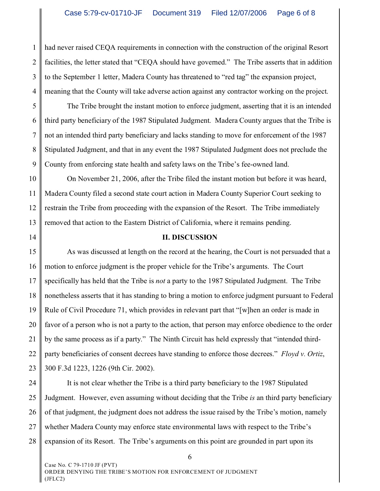1 2 3 4 had never raised CEQA requirements in connection with the construction of the original Resort facilities, the letter stated that "CEQA should have governed." The Tribe asserts that in addition to the September 1 letter, Madera County has threatened to "red tag" the expansion project, meaning that the County will take adverse action against any contractor working on the project.

5 6 7 8 9 The Tribe brought the instant motion to enforce judgment, asserting that it is an intended third party beneficiary of the 1987 Stipulated Judgment. Madera County argues that the Tribe is not an intended third party beneficiary and lacks standing to move for enforcement of the 1987 Stipulated Judgment, and that in any event the 1987 Stipulated Judgment does not preclude the County from enforcing state health and safety laws on the Tribe's fee-owned land.

10 11 12 13 On November 21, 2006, after the Tribe filed the instant motion but before it was heard, Madera County filed a second state court action in Madera County Superior Court seeking to restrain the Tribe from proceeding with the expansion of the Resort. The Tribe immediately removed that action to the Eastern District of California, where it remains pending.

14

## **II. DISCUSSION**

15 16 17 18 19 20 21 22 23 As was discussed at length on the record at the hearing, the Court is not persuaded that a motion to enforce judgment is the proper vehicle for the Tribe's arguments. The Court specifically has held that the Tribe is *not* a party to the 1987 Stipulated Judgment. The Tribe nonetheless asserts that it has standing to bring a motion to enforce judgment pursuant to Federal Rule of Civil Procedure 71, which provides in relevant part that "[w]hen an order is made in favor of a person who is not a party to the action, that person may enforce obedience to the order by the same process as if a party." The Ninth Circuit has held expressly that "intended thirdparty beneficiaries of consent decrees have standing to enforce those decrees." *Floyd v. Ortiz*, 300 F.3d 1223, 1226 (9th Cir. 2002).

24 25 26 27 28 It is not clear whether the Tribe is a third party beneficiary to the 1987 Stipulated Judgment. However, even assuming without deciding that the Tribe *is* an third party beneficiary of that judgment, the judgment does not address the issue raised by the Tribe's motion, namely whether Madera County may enforce state environmental laws with respect to the Tribe's expansion of its Resort. The Tribe's arguments on this point are grounded in part upon its

Case No. C 79-1710 JF (PVT) ORDER DENYING THE TRIBE'S MOTION FOR ENFORCEMENT OF JUDGMENT (JFLC2)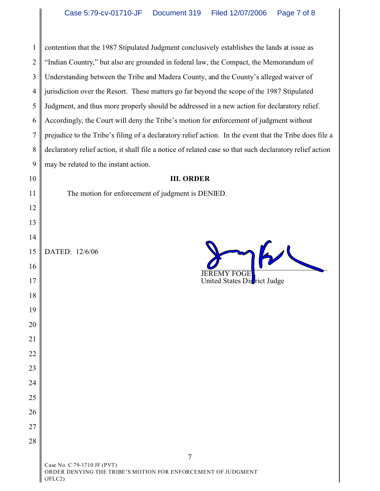| 1              | contention that the 1987 Stipulated Judgment conclusively establishes the lands at issue as              |  |  |  |
|----------------|----------------------------------------------------------------------------------------------------------|--|--|--|
| $\overline{2}$ | "Indian Country," but also are grounded in federal law, the Compact, the Memorandum of                   |  |  |  |
| 3              | Understanding between the Tribe and Madera County, and the County's alleged waiver of                    |  |  |  |
| $\overline{4}$ | jurisdiction over the Resort. These matters go far beyond the scope of the 1987 Stipulated               |  |  |  |
| 5              | Judgment, and thus more properly should be addressed in a new action for declaratory relief.             |  |  |  |
| 6              | Accordingly, the Court will deny the Tribe's motion for enforcement of judgment without                  |  |  |  |
| 7              | prejudice to the Tribe's filing of a declaratory relief action. In the event that the Tribe does file a  |  |  |  |
| 8              | declaratory relief action, it shall file a notice of related case so that such declaratory relief action |  |  |  |
| 9              | may be related to the instant action.                                                                    |  |  |  |
| 10             | <b>III. ORDER</b>                                                                                        |  |  |  |
| 11             | The motion for enforcement of judgment is DENIED.                                                        |  |  |  |
| 12             |                                                                                                          |  |  |  |
| 13             |                                                                                                          |  |  |  |
| 14             |                                                                                                          |  |  |  |
| 15             | DATED: 12/6/06                                                                                           |  |  |  |
| 16             | <b>JEREMY FOGE</b>                                                                                       |  |  |  |
| 17             | United States District Judge                                                                             |  |  |  |
| 18             |                                                                                                          |  |  |  |
| 19             |                                                                                                          |  |  |  |
| 20             |                                                                                                          |  |  |  |
| 21             |                                                                                                          |  |  |  |
| 22             |                                                                                                          |  |  |  |
| 23             |                                                                                                          |  |  |  |
| 24             |                                                                                                          |  |  |  |
| 25             |                                                                                                          |  |  |  |
| 26             |                                                                                                          |  |  |  |
| 27             |                                                                                                          |  |  |  |
| 28             |                                                                                                          |  |  |  |
|                | 7                                                                                                        |  |  |  |
|                | Case No. C 79-1710 JF (PVT)<br>ORDER DENYING THE TRIBE'S MOTION FOR ENFORCEMENT OF JUDGMENT<br>(JELC2)   |  |  |  |